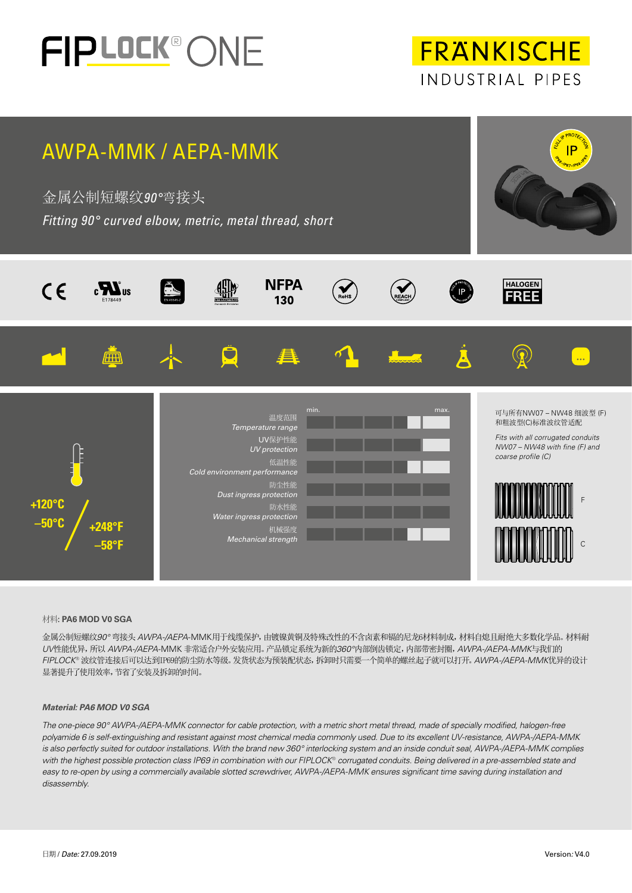

**FRANKISCHE** INDUSTRIAL PIPES



### 材料**: PA6 MOD V0 SGA**

金属公制短螺纹*90°* 弯接头 *AWPA-/AEPA*-MMK用于线缆保护,由镀镍黄铜及特殊改性的不含卤素和镉的尼龙6材料制成,材料自熄且耐绝大多数化学品。材料耐 *UV*性能优异,所以 *AWPA-/AEPA*-MMK 非常适合户外安装应用。产品锁定系统为新的*360°*内部倒齿锁定,内部带密封圈,*AWPA-/AEPA-MMK*与我们的 *FIPLOCK®* 波纹管连接后可以达到IP69的防尘防水等级。发货状态为预装配状态,拆卸时只需要一个简单的螺丝起子就可以打开。*AWPA-/AEPA-MMK*优异的设计 显著提升了使用效率,节省了安装及拆卸的时间。

#### *Material: PA6 MOD V0 SGA*

*The one-piece 90° AWPA-/AEPA-MMK connector for cable protection, with a metric short metal thread, made of specially modified, halogen-free polyamide 6 is self-extinguishing and resistant against most chemical media commonly used. Due to its excellent UV-resistance, AWPA-/AEPA-MMK*  is also perfectly suited for outdoor installations. With the brand new 360° interlocking system and an inside conduit seal, AWPA-/AEPA-MMK complies *with the highest possible protection class IP69 in combination with our FIPLOCK® corrugated conduits. Being delivered in a pre-assembled state and*  easy to re-open by using a commercially available slotted screwdriver, AWPA-/AEPA-MMK ensures significant time saving during installation and *disassembly.*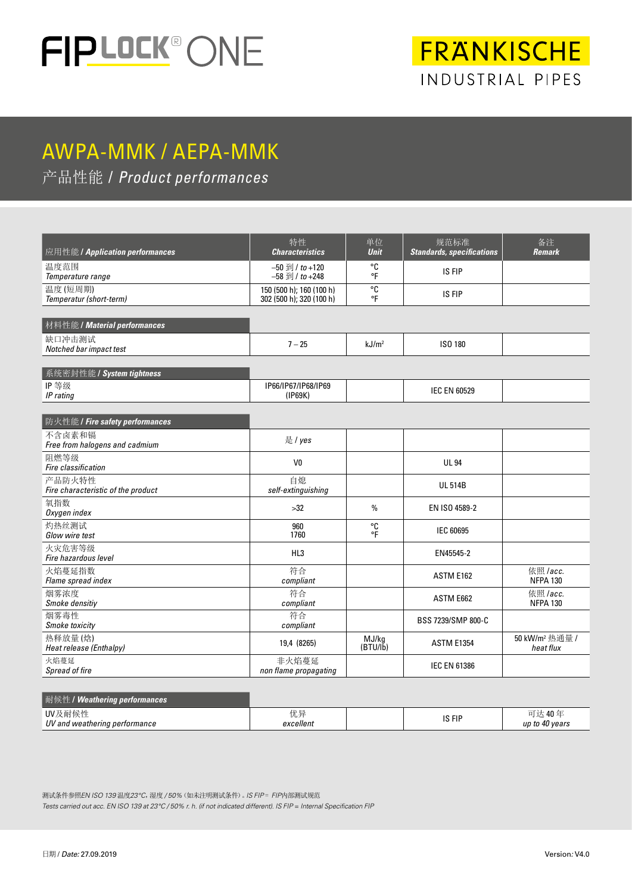

## AWPA-MMK / AEPA-MMK

产品性能 / *Product performances*

| 应用性能 / Application performances              | 特性<br><b>Characteristics</b>                               | 单位<br><b>Unit</b>                      | 规范标准<br><b>Standards, specifications</b> | 备注<br><b>Remark</b>                     |
|----------------------------------------------|------------------------------------------------------------|----------------------------------------|------------------------------------------|-----------------------------------------|
| 温度范围<br>Temperature range                    | $-50$ $\overline{2}$ $1/to + 120$<br>$-58 \nvert 40 + 248$ | °C<br>°F                               | IS FIP                                   |                                         |
| 温度(短周期)<br>Temperatur (short-term)           | 150 (500 h); 160 (100 h)<br>302 (500 h); 320 (100 h)       | °C<br>°F                               | IS FIP                                   |                                         |
| 材料性能 / Material performances                 |                                                            |                                        |                                          |                                         |
| 缺口冲击测试<br>Notched bar impact test            | $7 - 25$                                                   | kJ/m <sup>2</sup>                      | ISO 180                                  |                                         |
| 系统密封性能 / System tightness                    |                                                            |                                        |                                          |                                         |
| IP等级<br>IP rating                            | IP66/IP67/IP68/IP69<br>(IP69K)                             |                                        | <b>IEC EN 60529</b>                      |                                         |
| 防火性能 / Fire safety performances              |                                                            |                                        |                                          |                                         |
| 不含卤素和镉<br>Free from halogens and cadmium     | 是 / yes                                                    |                                        |                                          |                                         |
| 阻燃等级<br>Fire classification                  | V <sub>0</sub>                                             |                                        | <b>UL 94</b>                             |                                         |
| 产品防火特性<br>Fire characteristic of the product | 自熄<br>self-extinguishing                                   |                                        | <b>UL 514B</b>                           |                                         |
| 氧指数<br>Oxygen index                          | >32                                                        | $\%$                                   | EN ISO 4589-2                            |                                         |
| 灼热丝测试<br>Glow wire test                      | 960<br>1760                                                | °C<br>۰Ē                               | <b>IEC 60695</b>                         |                                         |
| 火灾危害等级<br>Fire hazardous level               | HL <sub>3</sub>                                            |                                        | EN45545-2                                |                                         |
| 火焰蔓延指数<br>Flame spread index                 | 符合<br>compliant                                            |                                        | ASTM E162                                | 依照 /acc.<br><b>NFPA 130</b>             |
| 烟雾浓度<br>Smoke densitiy                       | 符合<br>compliant                                            |                                        | ASTM E662                                | 依照 /acc.<br><b>NFPA 130</b>             |
| 烟雾毒性<br>Smoke toxicity                       | 符合<br>compliant                                            |                                        | BSS 7239/SMP 800-C                       |                                         |
| 热释放量(焓)<br>Heat release (Enthalpy)           | 19,4 (8265)                                                | MJ/kg<br><b>ASTM E1354</b><br>(BTU/lb) |                                          | 50 kW/m <sup>2</sup> 热通量 /<br>heat flux |
| 火焰蔓延<br>Spread of fire                       | 非火焰蔓延<br>non flame propagating                             |                                        | <b>IEC EN 61386</b>                      |                                         |

| <b>耐候性/Weathering performances</b>      |                 |        |                         |
|-----------------------------------------|-----------------|--------|-------------------------|
| UV及耐候性<br>UV and weathering performance | 优异<br>excellent | IS FIP | 可达40年<br>up to 40 years |

测试条件参照*EN ISO 139* 温度*23°C*,湿度 */ 50%*(如未注明测试条件)。*IS FIP* = *FIP*内部测试规范 *Tests carried out acc. EN ISO 139 at 23°C / 50% r. h. (if not indicated different). IS FIP = Internal Specification FIP*